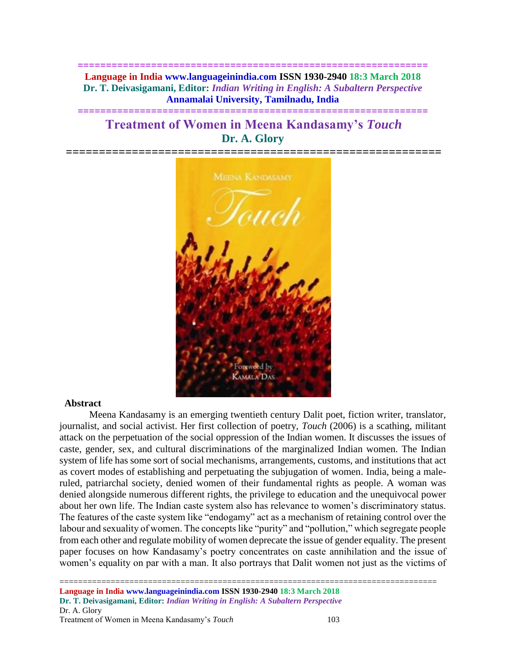**============================================================== Language in India www.languageinindia.com ISSN 1930-2940 18:3 March 2018 Dr. T. Deivasigamani, Editor:** *Indian Writing in English: A Subaltern Perspective* **Annamalai University, Tamilnadu, India**

**==============================================================**

# **Treatment of Women in Meena Kandasamy's** *Touch* **Dr. A. Glory**



#### **Abstract**

Meena Kandasamy is an emerging twentieth century Dalit poet, fiction writer, translator, journalist, and social activist. Her first collection of poetry, *Touch* (2006) is a scathing, militant attack on the perpetuation of the social oppression of the Indian women. It discusses the issues of caste, gender, sex, and cultural discriminations of the marginalized Indian women. The Indian system of life has some sort of social mechanisms, arrangements, customs, and institutions that act as covert modes of establishing and perpetuating the subjugation of women. India, being a maleruled, patriarchal society, denied women of their fundamental rights as people. A woman was denied alongside numerous different rights, the privilege to education and the unequivocal power about her own life. The Indian caste system also has relevance to women's discriminatory status. The features of the caste system like "endogamy" act as a mechanism of retaining control over the labour and sexuality of women. The concepts like "purity" and "pollution," which segregate people from each other and regulate mobility of women deprecate the issue of gender equality. The present paper focuses on how Kandasamy's poetry concentrates on caste annihilation and the issue of women's equality on par with a man. It also portrays that Dalit women not just as the victims of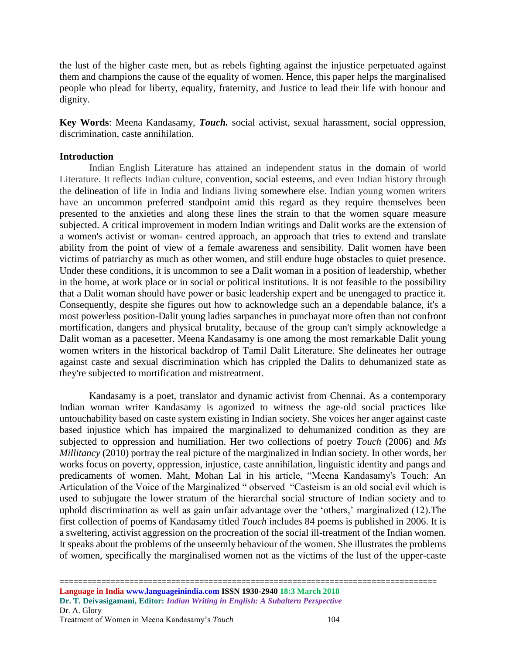the lust of the higher caste men, but as rebels fighting against the injustice perpetuated against them and champions the cause of the equality of women. Hence, this paper helps the marginalised people who plead for liberty, equality, fraternity, and Justice to lead their life with honour and dignity.

**Key Words**: Meena Kandasamy, *Touch.* social activist, sexual harassment, social oppression, discrimination, caste annihilation.

### **Introduction**

Indian English Literature has attained an independent status in the domain of world Literature. It reflects Indian culture, convention, social esteems, and even Indian history through the delineation of life in India and Indians living somewhere else. Indian young women writers have an uncommon preferred standpoint amid this regard as they require themselves been presented to the anxieties and along these lines the strain to that the women square measure subjected. A critical improvement in modern Indian writings and Dalit works are the extension of a women's activist or woman- centred approach, an approach that tries to extend and translate ability from the point of view of a female awareness and sensibility. Dalit women have been victims of patriarchy as much as other women, and still endure huge obstacles to quiet presence. Under these conditions, it is uncommon to see a Dalit woman in a position of leadership, whether in the home, at work place or in social or political institutions. It is not feasible to the possibility that a Dalit woman should have power or basic leadership expert and be unengaged to practice it. Consequently, despite she figures out how to acknowledge such an a dependable balance, it's a most powerless position-Dalit young ladies sarpanches in punchayat more often than not confront mortification, dangers and physical brutality, because of the group can't simply acknowledge a Dalit woman as a pacesetter. Meena Kandasamy is one among the most remarkable Dalit young women writers in the historical backdrop of Tamil Dalit Literature. She delineates her outrage against caste and sexual discrimination which has crippled the Dalits to dehumanized state as they're subjected to mortification and mistreatment.

Kandasamy is a poet, translator and dynamic activist from Chennai. As a contemporary Indian woman writer Kandasamy is agonized to witness the age-old social practices like untouchability based on caste system existing in Indian society. She voices her anger against caste based injustice which has impaired the marginalized to dehumanized condition as they are subjected to oppression and humiliation. Her two collections of poetry *Touch* (2006) and *Ms Millitancy* (2010) portray the real picture of the marginalized in Indian society. In other words, her works focus on poverty, oppression, injustice, caste annihilation, linguistic identity and pangs and predicaments of women. Maht, Mohan Lal in his article, "Meena Kandasamy's Touch: An Articulation of the Voice of the Marginalized " observed "Casteism is an old social evil which is used to subjugate the lower stratum of the hierarchal social structure of Indian society and to uphold discrimination as well as gain unfair advantage over the 'others,' marginalized (12).The first collection of poems of Kandasamy titled *Touch* includes 84 poems is published in 2006. It is a sweltering, activist aggression on the procreation of the social ill-treatment of the Indian women. It speaks about the problems of the unseemly behaviour of the women. She illustrates the problems of women, specifically the marginalised women not as the victims of the lust of the upper-caste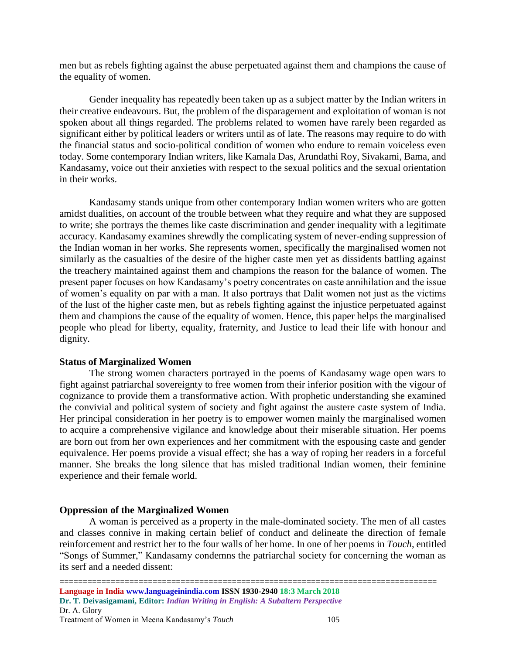men but as rebels fighting against the abuse perpetuated against them and champions the cause of the equality of women.

Gender inequality has repeatedly been taken up as a subject matter by the Indian writers in their creative endeavours. But, the problem of the disparagement and exploitation of woman is not spoken about all things regarded. The problems related to women have rarely been regarded as significant either by political leaders or writers until as of late. The reasons may require to do with the financial status and socio-political condition of women who endure to remain voiceless even today. Some contemporary Indian writers, like Kamala Das, Arundathi Roy, Sivakami, Bama, and Kandasamy, voice out their anxieties with respect to the sexual politics and the sexual orientation in their works.

Kandasamy stands unique from other contemporary Indian women writers who are gotten amidst dualities, on account of the trouble between what they require and what they are supposed to write; she portrays the themes like caste discrimination and gender inequality with a legitimate accuracy. Kandasamy examines shrewdly the complicating system of never-ending suppression of the Indian woman in her works. She represents women, specifically the marginalised women not similarly as the casualties of the desire of the higher caste men yet as dissidents battling against the treachery maintained against them and champions the reason for the balance of women. The present paper focuses on how Kandasamy's poetry concentrates on caste annihilation and the issue of women's equality on par with a man. It also portrays that Dalit women not just as the victims of the lust of the higher caste men, but as rebels fighting against the injustice perpetuated against them and champions the cause of the equality of women. Hence, this paper helps the marginalised people who plead for liberty, equality, fraternity, and Justice to lead their life with honour and dignity.

### **Status of Marginalized Women**

The strong women characters portrayed in the poems of Kandasamy wage open wars to fight against patriarchal sovereignty to free women from their inferior position with the vigour of cognizance to provide them a transformative action. With prophetic understanding she examined the convivial and political system of society and fight against the austere caste system of India. Her principal consideration in her poetry is to empower women mainly the marginalised women to acquire a comprehensive vigilance and knowledge about their miserable situation. Her poems are born out from her own experiences and her commitment with the espousing caste and gender equivalence. Her poems provide a visual effect; she has a way of roping her readers in a forceful manner. She breaks the long silence that has misled traditional Indian women, their feminine experience and their female world.

## **Oppression of the Marginalized Women**

A woman is perceived as a property in the male-dominated society. The men of all castes and classes connive in making certain belief of conduct and delineate the direction of female reinforcement and restrict her to the four walls of her home. In one of her poems in *Touch*, entitled "Songs of Summer," Kandasamy condemns the patriarchal society for concerning the woman as its serf and a needed dissent: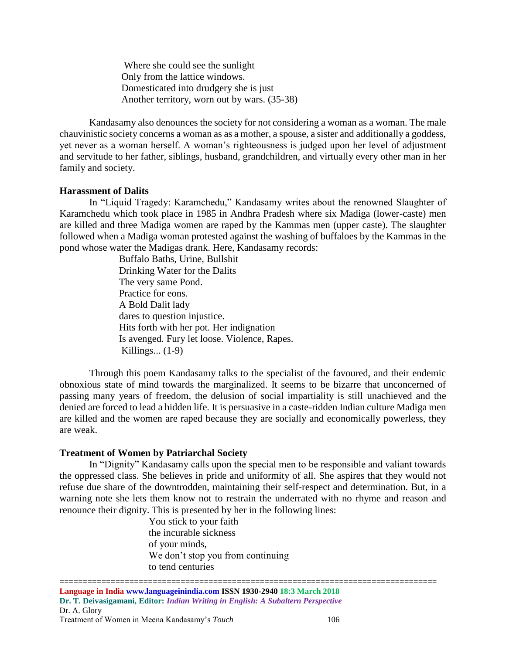Where she could see the sunlight Only from the lattice windows. Domesticated into drudgery she is just Another territory, worn out by wars. (35-38)

Kandasamy also denounces the society for not considering a woman as a woman. The male chauvinistic society concerns a woman as as a mother, a spouse, a sister and additionally a goddess, yet never as a woman herself. A woman's righteousness is judged upon her level of adjustment and servitude to her father, siblings, husband, grandchildren, and virtually every other man in her family and society.

### **Harassment of Dalits**

In "Liquid Tragedy: Karamchedu," Kandasamy writes about the renowned Slaughter of Karamchedu which took place in 1985 in Andhra Pradesh where six Madiga (lower-caste) men are killed and three Madiga women are raped by the Kammas men (upper caste). The slaughter followed when a Madiga woman protested against the washing of buffaloes by the Kammas in the pond whose water the Madigas drank. Here, Kandasamy records:

> Buffalo Baths, Urine, Bullshit Drinking Water for the Dalits The very same Pond. Practice for eons. A Bold Dalit lady dares to question injustice. Hits forth with her pot. Her indignation Is avenged. Fury let loose. Violence, Rapes. Killings... (1-9)

Through this poem Kandasamy talks to the specialist of the favoured, and their endemic obnoxious state of mind towards the marginalized. It seems to be bizarre that unconcerned of passing many years of freedom, the delusion of social impartiality is still unachieved and the denied are forced to lead a hidden life. It is persuasive in a caste-ridden Indian culture Madiga men are killed and the women are raped because they are socially and economically powerless, they are weak.

#### **Treatment of Women by Patriarchal Society**

In "Dignity" Kandasamy calls upon the special men to be responsible and valiant towards the oppressed class. She believes in pride and uniformity of all. She aspires that they would not refuse due share of the downtrodden, maintaining their self-respect and determination. But, in a warning note she lets them know not to restrain the underrated with no rhyme and reason and renounce their dignity. This is presented by her in the following lines:

> You stick to your faith the incurable sickness of your minds, We don't stop you from continuing to tend centuries

================================================================================= **Language in India www.languageinindia.com ISSN 1930-2940 18:3 March 2018 Dr. T. Deivasigamani, Editor:** *Indian Writing in English: A Subaltern Perspective* Dr. A. Glory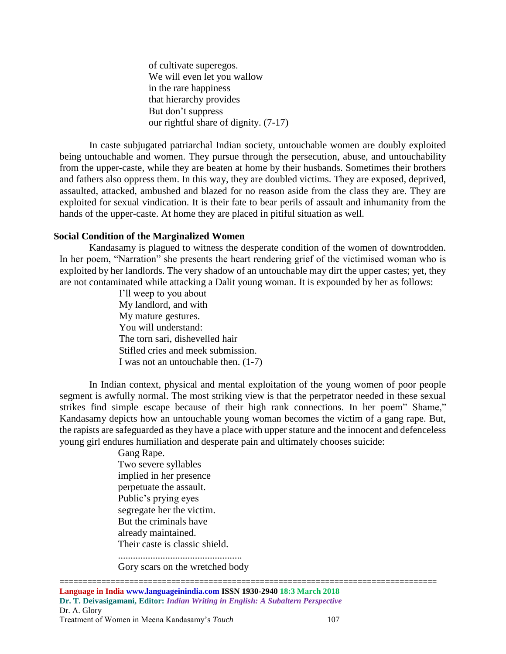of cultivate superegos. We will even let you wallow in the rare happiness that hierarchy provides But don't suppress our rightful share of dignity. (7-17)

In caste subjugated patriarchal Indian society, untouchable women are doubly exploited being untouchable and women. They pursue through the persecution, abuse, and untouchability from the upper-caste, while they are beaten at home by their husbands. Sometimes their brothers and fathers also oppress them. In this way, they are doubled victims. They are exposed, deprived, assaulted, attacked, ambushed and blazed for no reason aside from the class they are. They are exploited for sexual vindication. It is their fate to bear perils of assault and inhumanity from the hands of the upper-caste. At home they are placed in pitiful situation as well.

### **Social Condition of the Marginalized Women**

Kandasamy is plagued to witness the desperate condition of the women of downtrodden. In her poem, "Narration" she presents the heart rendering grief of the victimised woman who is exploited by her landlords. The very shadow of an untouchable may dirt the upper castes; yet, they are not contaminated while attacking a Dalit young woman. It is expounded by her as follows:

> I'll weep to you about My landlord, and with My mature gestures. You will understand: The torn sari, dishevelled hair Stifled cries and meek submission. I was not an untouchable then. (1-7)

In Indian context, physical and mental exploitation of the young women of poor people segment is awfully normal. The most striking view is that the perpetrator needed in these sexual strikes find simple escape because of their high rank connections. In her poem" Shame," Kandasamy depicts how an untouchable young woman becomes the victim of a gang rape. But, the rapists are safeguarded as they have a place with upper stature and the innocent and defenceless young girl endures humiliation and desperate pain and ultimately chooses suicide:

> Gang Rape. Two severe syllables implied in her presence perpetuate the assault. Public's prying eyes segregate her the victim. But the criminals have already maintained. Their caste is classic shield. ..................................................

Gory scars on the wretched body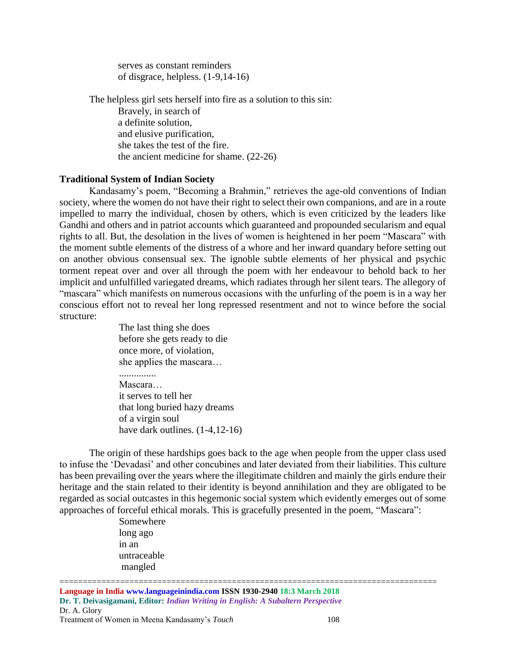serves as constant reminders of disgrace, helpless. (1-9,14-16)

The helpless girl sets herself into fire as a solution to this sin: Bravely, in search of a definite solution, and elusive purification, she takes the test of the fire. the ancient medicine for shame. (22-26)

### **Traditional System of Indian Society**

Kandasamy's poem, "Becoming a Brahmin," retrieves the age-old conventions of Indian society, where the women do not have their right to select their own companions, and are in a route impelled to marry the individual, chosen by others, which is even criticized by the leaders like Gandhi and others and in patriot accounts which guaranteed and propounded secularism and equal rights to all. But, the desolation in the lives of women is heightened in her poem "Mascara" with the moment subtle elements of the distress of a whore and her inward quandary before setting out on another obvious consensual sex. The ignoble subtle elements of her physical and psychic torment repeat over and over all through the poem with her endeavour to behold back to her implicit and unfulfilled variegated dreams, which radiates through her silent tears. The allegory of "mascara" which manifests on numerous occasions with the unfurling of the poem is in a way her conscious effort not to reveal her long repressed resentment and not to wince before the social structure:

> The last thing she does before she gets ready to die once more, of violation, she applies the mascara… ............... Mascara… it serves to tell her that long buried hazy dreams of a virgin soul have dark outlines.  $(1-4, 12-16)$

The origin of these hardships goes back to the age when people from the upper class used to infuse the 'Devadasi' and other concubines and later deviated from their liabilities. This culture has been prevailing over the years where the illegitimate children and mainly the girls endure their heritage and the stain related to their identity is beyond annihilation and they are obligated to be regarded as social outcastes in this hegemonic social system which evidently emerges out of some approaches of forceful ethical morals. This is gracefully presented in the poem, "Mascara":

> Somewhere long ago in an untraceable mangled

================================================================================= **Language in India www.languageinindia.com ISSN 1930-2940 18:3 March 2018 Dr. T. Deivasigamani, Editor:** *Indian Writing in English: A Subaltern Perspective* Dr. A. Glory Treatment of Women in Meena Kandasamy's *Touch* 108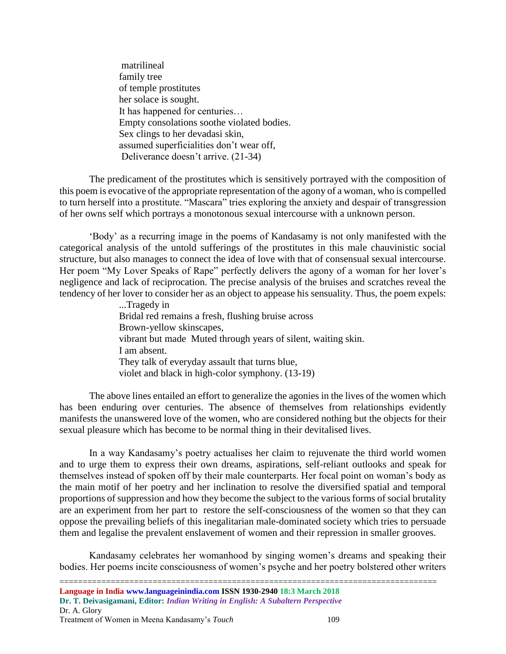matrilineal family tree of temple prostitutes her solace is sought. It has happened for centuries… Empty consolations soothe violated bodies. Sex clings to her devadasi skin, assumed superficialities don't wear off, Deliverance doesn't arrive. (21-34)

The predicament of the prostitutes which is sensitively portrayed with the composition of this poem is evocative of the appropriate representation of the agony of a woman, who is compelled to turn herself into a prostitute. "Mascara" tries exploring the anxiety and despair of transgression of her owns self which portrays a monotonous sexual intercourse with a unknown person.

'Body' as a recurring image in the poems of Kandasamy is not only manifested with the categorical analysis of the untold sufferings of the prostitutes in this male chauvinistic social structure, but also manages to connect the idea of love with that of consensual sexual intercourse. Her poem "My Lover Speaks of Rape" perfectly delivers the agony of a woman for her lover's negligence and lack of reciprocation. The precise analysis of the bruises and scratches reveal the tendency of her lover to consider her as an object to appease his sensuality. Thus, the poem expels:

> ...Tragedy in Bridal red remains a fresh, flushing bruise across Brown-yellow skinscapes, vibrant but made Muted through years of silent, waiting skin. I am absent. They talk of everyday assault that turns blue, violet and black in high-color symphony. (13-19)

The above lines entailed an effort to generalize the agonies in the lives of the women which has been enduring over centuries. The absence of themselves from relationships evidently manifests the unanswered love of the women, who are considered nothing but the objects for their sexual pleasure which has become to be normal thing in their devitalised lives.

In a way Kandasamy's poetry actualises her claim to rejuvenate the third world women and to urge them to express their own dreams, aspirations, self-reliant outlooks and speak for themselves instead of spoken off by their male counterparts. Her focal point on woman's body as the main motif of her poetry and her inclination to resolve the diversified spatial and temporal proportions of suppression and how they become the subject to the various forms of social brutality are an experiment from her part to restore the self-consciousness of the women so that they can oppose the prevailing beliefs of this inegalitarian male-dominated society which tries to persuade them and legalise the prevalent enslavement of women and their repression in smaller grooves.

Kandasamy celebrates her womanhood by singing women's dreams and speaking their bodies. Her poems incite consciousness of women's psyche and her poetry bolstered other writers